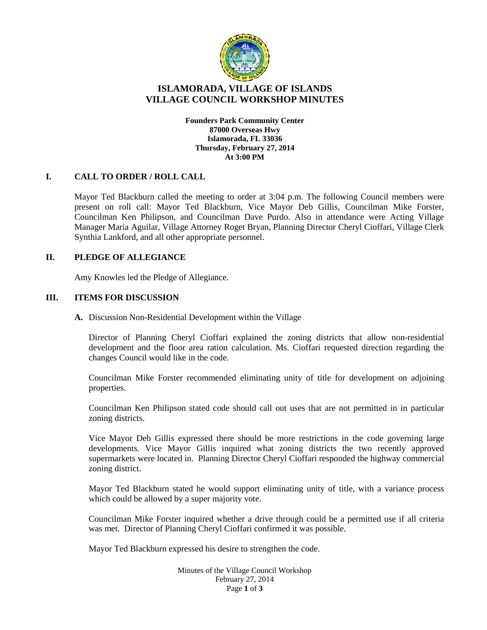

# **ISLAMORADA, VILLAGE OF ISLANDS VILLAGE COUNCIL WORKSHOP MINUTES**

**Founders Park Community Center 87000 Overseas Hwy Islamorada, FL 33036 Thursday, February 27, 2014 At 3:00 PM**

# **I. CALL TO ORDER / ROLL CALL**

Mayor Ted Blackburn called the meeting to order at 3:04 p.m. The following Council members were present on roll call: Mayor Ted Blackburn, Vice Mayor Deb Gillis, Councilman Mike Forster, Councilman Ken Philipson, and Councilman Dave Purdo. Also in attendance were Acting Village Manager Maria Aguilar, Village Attorney Roget Bryan, Planning Director Cheryl Cioffari, Village Clerk Synthia Lankford, and all other appropriate personnel.

### **II. PLEDGE OF ALLEGIANCE**

Amy Knowles led the Pledge of Allegiance.

# **III. ITEMS FOR DISCUSSION**

**A.** Discussion Non-Residential Development within the Village

Director of Planning Cheryl Cioffari explained the zoning districts that allow non-residential development and the floor area ration calculation. Ms. Cioffari requested direction regarding the changes Council would like in the code.

Councilman Mike Forster recommended eliminating unity of title for development on adjoining properties.

Councilman Ken Philipson stated code should call out uses that are not permitted in in particular zoning districts.

Vice Mayor Deb Gillis expressed there should be more restrictions in the code governing large developments. Vice Mayor Gillis inquired what zoning districts the two recently approved supermarkets were located in. Planning Director Cheryl Cioffari responded the highway commercial zoning district.

Mayor Ted Blackburn stated he would support eliminating unity of title, with a variance process which could be allowed by a super majority vote.

Councilman Mike Forster inquired whether a drive through could be a permitted use if all criteria was met. Director of Planning Cheryl Cioffari confirmed it was possible.

Mayor Ted Blackburn expressed his desire to strengthen the code.

Minutes of the Village Council Workshop February 27, 2014 Page **1** of **3**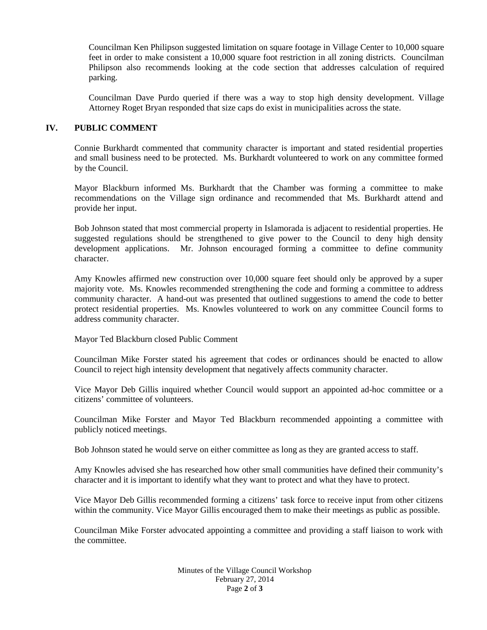Councilman Ken Philipson suggested limitation on square footage in Village Center to 10,000 square feet in order to make consistent a 10,000 square foot restriction in all zoning districts. Councilman Philipson also recommends looking at the code section that addresses calculation of required parking.

Councilman Dave Purdo queried if there was a way to stop high density development. Village Attorney Roget Bryan responded that size caps do exist in municipalities across the state.

### **IV. PUBLIC COMMENT**

Connie Burkhardt commented that community character is important and stated residential properties and small business need to be protected. Ms. Burkhardt volunteered to work on any committee formed by the Council.

Mayor Blackburn informed Ms. Burkhardt that the Chamber was forming a committee to make recommendations on the Village sign ordinance and recommended that Ms. Burkhardt attend and provide her input.

Bob Johnson stated that most commercial property in Islamorada is adjacent to residential properties. He suggested regulations should be strengthened to give power to the Council to deny high density development applications. Mr. Johnson encouraged forming a committee to define community character.

Amy Knowles affirmed new construction over 10,000 square feet should only be approved by a super majority vote. Ms. Knowles recommended strengthening the code and forming a committee to address community character. A hand-out was presented that outlined suggestions to amend the code to better protect residential properties. Ms. Knowles volunteered to work on any committee Council forms to address community character.

Mayor Ted Blackburn closed Public Comment

Councilman Mike Forster stated his agreement that codes or ordinances should be enacted to allow Council to reject high intensity development that negatively affects community character.

Vice Mayor Deb Gillis inquired whether Council would support an appointed ad-hoc committee or a citizens' committee of volunteers.

Councilman Mike Forster and Mayor Ted Blackburn recommended appointing a committee with publicly noticed meetings.

Bob Johnson stated he would serve on either committee as long as they are granted access to staff.

Amy Knowles advised she has researched how other small communities have defined their community's character and it is important to identify what they want to protect and what they have to protect.

Vice Mayor Deb Gillis recommended forming a citizens' task force to receive input from other citizens within the community. Vice Mayor Gillis encouraged them to make their meetings as public as possible.

Councilman Mike Forster advocated appointing a committee and providing a staff liaison to work with the committee.

> Minutes of the Village Council Workshop February 27, 2014 Page **2** of **3**